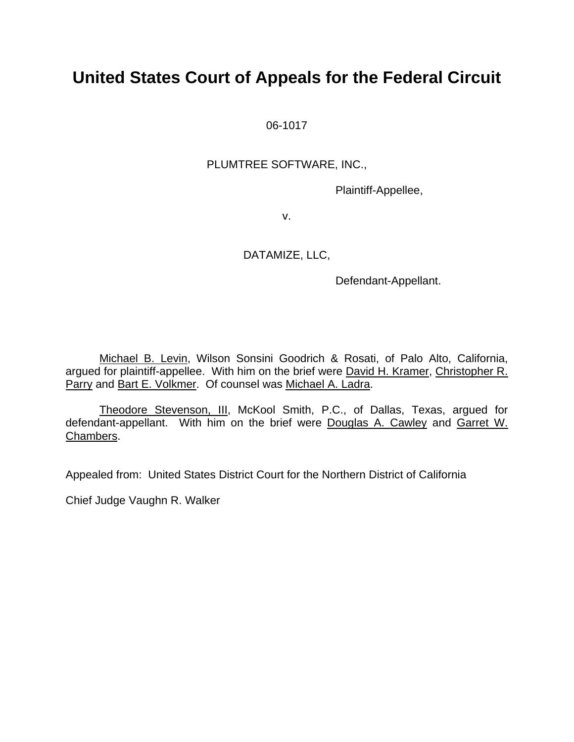## **United States Court of Appeals for the Federal Circuit**

06-1017

## PLUMTREE SOFTWARE, INC.,

Plaintiff-Appellee,

v.

## DATAMIZE, LLC,

Defendant-Appellant.

Michael B. Levin, Wilson Sonsini Goodrich & Rosati, of Palo Alto, California, argued for plaintiff-appellee. With him on the brief were David H. Kramer, Christopher R. Parry and Bart E. Volkmer. Of counsel was Michael A. Ladra.

Theodore Stevenson, III, McKool Smith, P.C., of Dallas, Texas, argued for defendant-appellant. With him on the brief were Douglas A. Cawley and Garret W. Chambers.

Appealed from: United States District Court for the Northern District of California

Chief Judge Vaughn R. Walker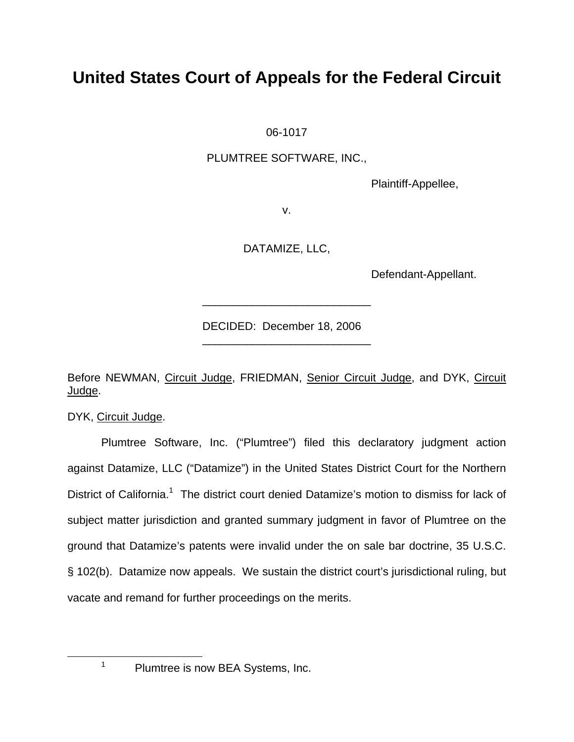# **United States Court of Appeals for the Federal Circuit**

06-1017

### PLUMTREE SOFTWARE, INC.,

Plaintiff-Appellee,

v.

DATAMIZE, LLC,

Defendant-Appellant.

DECIDED: December 18, 2006

 $\frac{1}{2}$  ,  $\frac{1}{2}$  ,  $\frac{1}{2}$  ,  $\frac{1}{2}$  ,  $\frac{1}{2}$  ,  $\frac{1}{2}$  ,  $\frac{1}{2}$  ,  $\frac{1}{2}$  ,  $\frac{1}{2}$  ,  $\frac{1}{2}$  ,  $\frac{1}{2}$  ,  $\frac{1}{2}$  ,  $\frac{1}{2}$  ,  $\frac{1}{2}$  ,  $\frac{1}{2}$  ,  $\frac{1}{2}$  ,  $\frac{1}{2}$  ,  $\frac{1}{2}$  ,  $\frac{1$ 

 $\frac{1}{2}$  ,  $\frac{1}{2}$  ,  $\frac{1}{2}$  ,  $\frac{1}{2}$  ,  $\frac{1}{2}$  ,  $\frac{1}{2}$  ,  $\frac{1}{2}$  ,  $\frac{1}{2}$  ,  $\frac{1}{2}$  ,  $\frac{1}{2}$  ,  $\frac{1}{2}$  ,  $\frac{1}{2}$  ,  $\frac{1}{2}$  ,  $\frac{1}{2}$  ,  $\frac{1}{2}$  ,  $\frac{1}{2}$  ,  $\frac{1}{2}$  ,  $\frac{1}{2}$  ,  $\frac{1$ 

Before NEWMAN, Circuit Judge, FRIEDMAN, Senior Circuit Judge, and DYK, Circuit Judge.

DYK, Circuit Judge.

Plumtree Software, Inc. ("Plumtree") filed this declaratory judgment action against Datamize, LLC ("Datamize") in the United States District Court for the Northern District of California.<sup>[1](#page-1-0)</sup> The district court denied Datamize's motion to dismiss for lack of subject matter jurisdiction and granted summary judgment in favor of Plumtree on the ground that Datamize's patents were invalid under the on sale bar doctrine, 35 U.S.C. § 102(b). Datamize now appeals. We sustain the district court's jurisdictional ruling, but vacate and remand for further proceedings on the merits.

1

<span id="page-1-0"></span> $1$  Plumtree is now BEA Systems, Inc.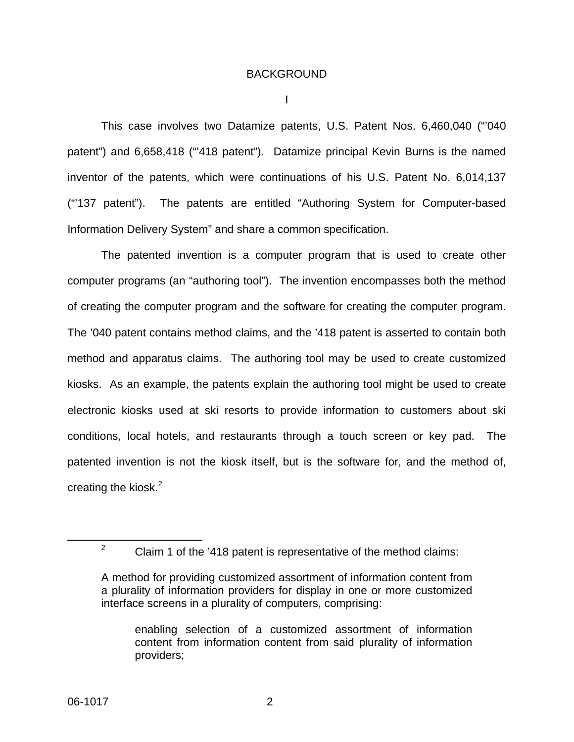#### BACKGROUND

I

This case involves two Datamize patents, U.S. Patent Nos. 6,460,040 ("'040 patent") and 6,658,418 ("'418 patent"). Datamize principal Kevin Burns is the named inventor of the patents, which were continuations of his U.S. Patent No. 6,014,137 ("'137 patent"). The patents are entitled "Authoring System for Computer-based Information Delivery System" and share a common specification.

The patented invention is a computer program that is used to create other computer programs (an "authoring tool"). The invention encompasses both the method of creating the computer program and the software for creating the computer program. The '040 patent contains method claims, and the '418 patent is asserted to contain both method and apparatus claims.The authoring tool may be used to create customized kiosks. As an example, the patents explain the authoring tool might be used to create electronic kiosks used at ski resorts to provide information to customers about ski conditions, local hotels, and restaurants through a touch screen or key pad.The patented invention is not the kiosk itself, but is the software for, and the method of, creating the kiosk.<sup>[2](#page-2-0)</sup>

 $\frac{1}{2}$ 

<span id="page-2-0"></span> $\frac{2}{10}$  Claim 1 of the '418 patent is representative of the method claims:

A method for providing customized assortment of information content from a plurality of information providers for display in one or more customized interface screens in a plurality of computers, comprising:

enabling selection of a customized assortment of information content from information content from said plurality of information providers;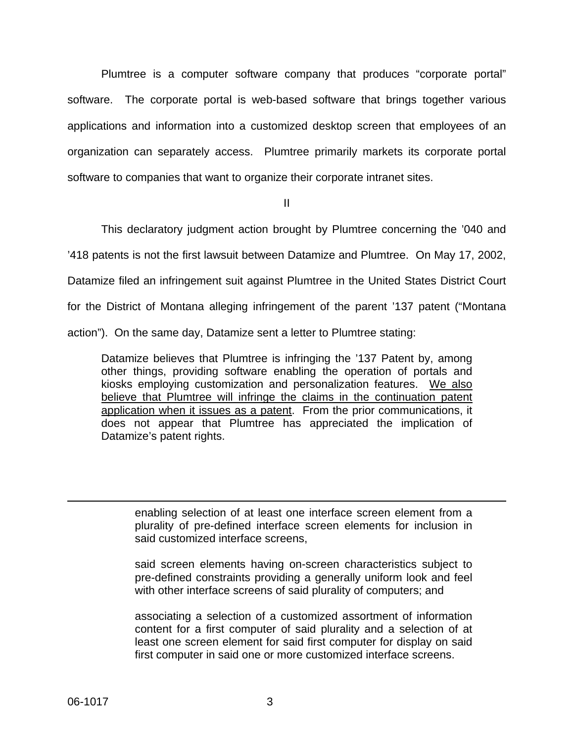Plumtree is a computer software company that produces "corporate portal" software.The corporate portal is web-based software that brings together various applications and information into a customized desktop screen that employees of an organization can separately access.Plumtree primarily markets its corporate portal software to companies that want to organize their corporate intranet sites.

II

This declaratory judgment action brought by Plumtree concerning the '040 and

'418 patents is not the first lawsuit between Datamize and Plumtree. On May 17, 2002,

Datamize filed an infringement suit against Plumtree in the United States District Court

for the District of Montana alleging infringement of the parent '137 patent ("Montana

action").On the same day, Datamize sent a letter to Plumtree stating:

Datamize believes that Plumtree is infringing the '137 Patent by, among other things, providing software enabling the operation of portals and kiosks employing customization and personalization features. We also believe that Plumtree will infringe the claims in the continuation patent application when it issues as a patent. From the prior communications, it does not appear that Plumtree has appreciated the implication of Datamize's patent rights.

enabling selection of at least one interface screen element from a plurality of pre-defined interface screen elements for inclusion in said customized interface screens,

said screen elements having on-screen characteristics subject to pre-defined constraints providing a generally uniform look and feel with other interface screens of said plurality of computers; and

associating a selection of a customized assortment of information content for a first computer of said plurality and a selection of at least one screen element for said first computer for display on said first computer in said one or more customized interface screens.

1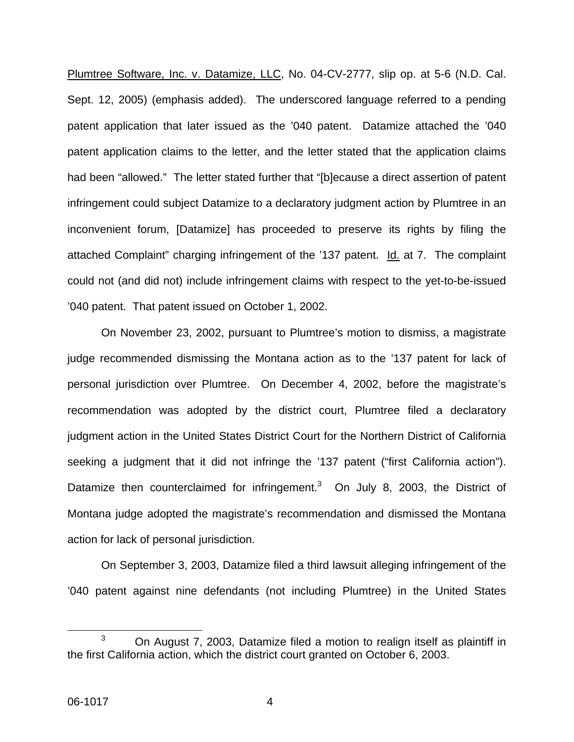Plumtree Software, Inc. v. Datamize, LLC, No. 04-CV-2777, slip op. at 5-6 (N.D. Cal. Sept. 12, 2005) (emphasis added).The underscored language referred to a pending patent application that later issued as the '040 patent. Datamize attached the '040 patent application claims to the letter, and the letter stated that the application claims had been "allowed."The letter stated further that "[b]ecause a direct assertion of patent infringement could subject Datamize to a declaratory judgment action by Plumtree in an inconvenient forum, [Datamize] has proceeded to preserve its rights by filing the attached Complaint" charging infringement of the '137 patent. Id. at 7.The complaint could not (and did not) include infringement claims with respect to the yet-to-be-issued '040 patent. That patent issued on October 1, 2002.

On November 23, 2002, pursuant to Plumtree's motion to dismiss, a magistrate judge recommended dismissing the Montana action as to the '137 patent for lack of personal jurisdiction over Plumtree.On December 4, 2002, before the magistrate's recommendation was adopted by the district court, Plumtree filed a declaratory judgment action in the United States District Court for the Northern District of California seeking a judgment that it did not infringe the '137 patent ("first California action"). Datamize then counterclaimed for infringement.<sup>[3](#page-4-0)</sup> On July 8, 2003, the District of Montana judge adopted the magistrate's recommendation and dismissed the Montana action for lack of personal jurisdiction.

On September 3, 2003, Datamize filed a third lawsuit alleging infringement of the '040 patent against nine defendants (not including Plumtree) in the United States

<span id="page-4-0"></span> $3$  On August 7, 2003, Datamize filed a motion to realign itself as plaintiff in the first California action, which the district court granted on October 6, 2003.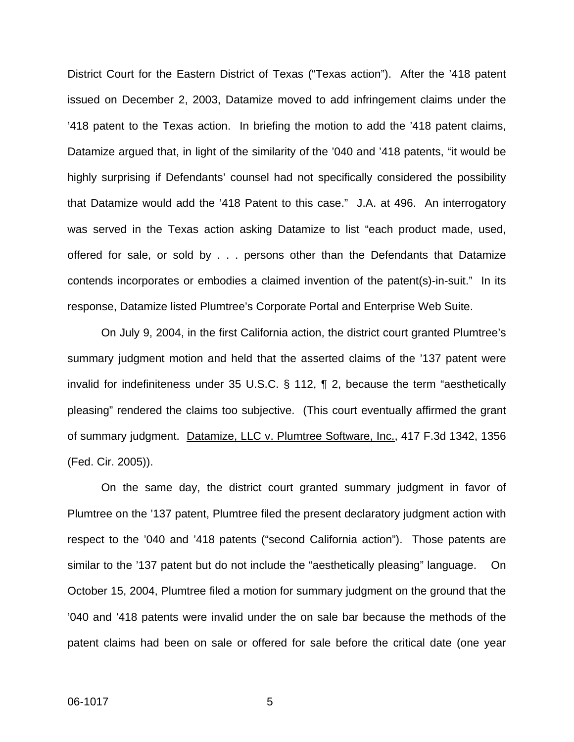District Court for the Eastern District of Texas ("Texas action").After the '418 patent issued on December 2, 2003, Datamize moved to add infringement claims under the '418 patent to the Texas action.In briefing the motion to add the '418 patent claims, Datamize argued that, in light of the similarity of the '040 and '418 patents, "it would be highly surprising if Defendants' counsel had not specifically considered the possibility that Datamize would add the '418 Patent to this case." J.A. at 496. An interrogatory was served in the Texas action asking Datamize to list "each product made, used, offered for sale, or sold by . . . persons other than the Defendants that Datamize contends incorporates or embodies a claimed invention of the patent(s)-in-suit." In its response, Datamize listed Plumtree's Corporate Portal and Enterprise Web Suite.

On July 9, 2004, in the first California action, the district court granted Plumtree's summary judgment motion and held that the asserted claims of the '137 patent were invalid for indefiniteness under 35 U.S.C. § 112, ¶ 2, because the term "aesthetically pleasing" rendered the claims too subjective.(This court eventually affirmed the grant of summary judgment. Datamize, LLC v. Plumtree Software, Inc., 417 F.3d 1342, 1356 (Fed. Cir. 2005)).

On the same day, the district court granted summary judgment in favor of Plumtree on the '137 patent, Plumtree filed the present declaratory judgment action with respect to the '040 and '418 patents ("second California action"). Those patents are similar to the '137 patent but do not include the "aesthetically pleasing" language. On October 15, 2004, Plumtree filed a motion for summary judgment on the ground that the '040 and '418 patents were invalid under the on sale bar because the methods of the patent claims had been on sale or offered for sale before the critical date (one year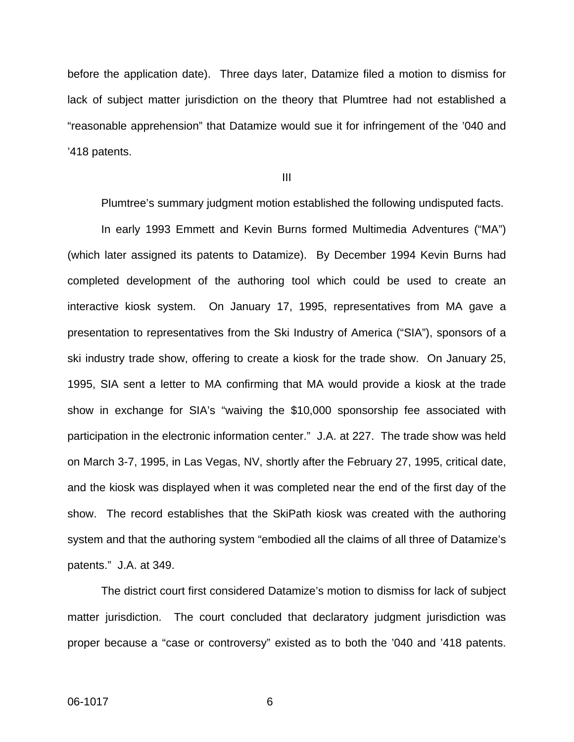before the application date).Three days later, Datamize filed a motion to dismiss for lack of subject matter jurisdiction on the theory that Plumtree had not established a "reasonable apprehension" that Datamize would sue it for infringement of the '040 and '418 patents.

III

Plumtree's summary judgment motion established the following undisputed facts.

In early 1993 Emmett and Kevin Burns formed Multimedia Adventures ("MA") (which later assigned its patents to Datamize).By December 1994 Kevin Burns had completed development of the authoring tool which could be used to create an interactive kiosk system.On January 17, 1995, representatives from MA gave a presentation to representatives from the Ski Industry of America ("SIA"), sponsors of a ski industry trade show, offering to create a kiosk for the trade show.On January 25, 1995, SIA sent a letter to MA confirming that MA would provide a kiosk at the trade show in exchange for SIA's "waiving the \$10,000 sponsorship fee associated with participation in the electronic information center." J.A. at 227. The trade show was held on March 3-7, 1995, in Las Vegas, NV, shortly after the February 27, 1995, critical date, and the kiosk was displayed when it was completed near the end of the first day of the show.The record establishes that the SkiPath kiosk was created with the authoring system and that the authoring system "embodied all the claims of all three of Datamize's patents." J.A. at 349.

The district court first considered Datamize's motion to dismiss for lack of subject matter jurisdiction. The court concluded that declaratory judgment jurisdiction was proper because a "case or controversy" existed as to both the '040 and '418 patents.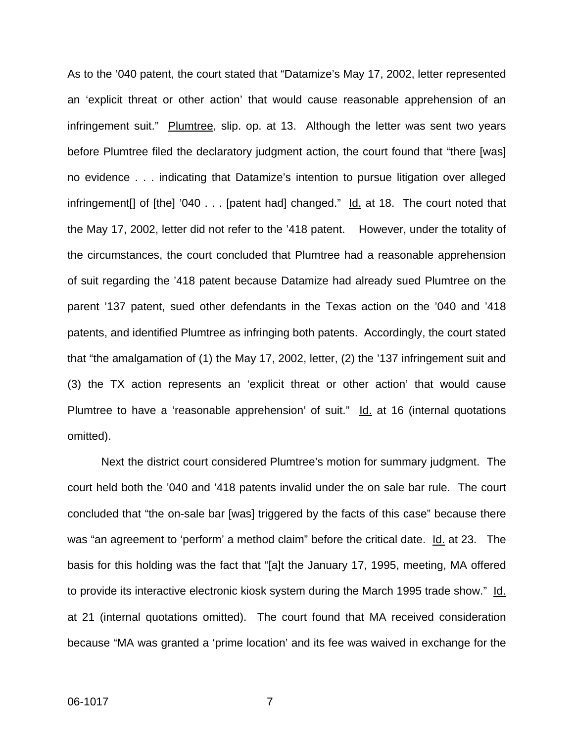As to the '040 patent, the court stated that "Datamize's May 17, 2002, letter represented an 'explicit threat or other action' that would cause reasonable apprehension of an infringement suit." Plumtree, slip. op. at 13.Although the letter was sent two years before Plumtree filed the declaratory judgment action, the court found that "there [was] no evidence . . . indicating that Datamize's intention to pursue litigation over alleged infringement[] of [the] '040 . . . [patent had] changed." Id. at 18.The court noted that the May 17, 2002, letter did not refer to the '418 patent. However, under the totality of the circumstances, the court concluded that Plumtree had a reasonable apprehension of suit regarding the '418 patent because Datamize had already sued Plumtree on the parent '137 patent, sued other defendants in the Texas action on the '040 and '418 patents, and identified Plumtree as infringing both patents. Accordingly, the court stated that "the amalgamation of (1) the May 17, 2002, letter, (2) the '137 infringement suit and (3) the TX action represents an 'explicit threat or other action' that would cause Plumtree to have a 'reasonable apprehension' of suit." Id. at 16 (internal quotations omitted).

Next the district court considered Plumtree's motion for summary judgment. The court held both the '040 and '418 patents invalid under the on sale bar rule. The court concluded that "the on-sale bar [was] triggered by the facts of this case" because there was "an agreement to 'perform' a method claim" before the critical date. Id. at 23. The basis for this holding was the fact that "[a]t the January 17, 1995, meeting, MA offered to provide its interactive electronic kiosk system during the March 1995 trade show." Id. at 21 (internal quotations omitted).The court found that MA received consideration because "MA was granted a 'prime location' and its fee was waived in exchange for the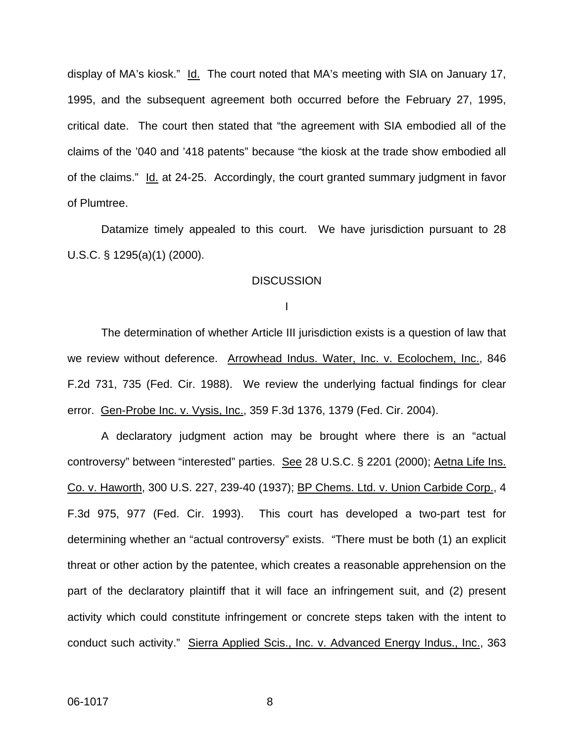display of MA's kiosk." Id. The court noted that MA's meeting with SIA on January 17, 1995, and the subsequent agreement both occurred before the February 27, 1995, critical date.The court then stated that "the agreement with SIA embodied all of the claims of the '040 and '418 patents" because "the kiosk at the trade show embodied all of the claims." Id. at 24-25. Accordingly, the court granted summary judgment in favor of Plumtree.

Datamize timely appealed to this court. We have jurisdiction pursuant to 28 U.S.C. § 1295(a)(1) (2000).

#### **DISCUSSION**

I

The determination of whether Article III jurisdiction exists is a question of law that we review without deference. Arrowhead Indus. Water, Inc. v. Ecolochem, Inc., 846 F.2d 731, 735 (Fed. Cir. 1988). We review the underlying factual findings for clear error. Gen-Probe Inc. v. Vysis, Inc., 359 F.3d 1376, 1379 (Fed. Cir. 2004).

A declaratory judgment action may be brought where there is an "actual controversy" between "interested" parties. See 28 U.S.C. § 2201 (2000); Aetna Life Ins. Co. v. Haworth, 300 U.S. 227, 239-40 (1937); BP Chems. Ltd. v. Union Carbide Corp., 4 F.3d 975, 977 (Fed. Cir. 1993). This court has developed a two-part test for determining whether an "actual controversy" exists. "There must be both (1) an explicit threat or other action by the patentee, which creates a reasonable apprehension on the part of the declaratory plaintiff that it will face an infringement suit, and (2) present activity which could constitute infringement or concrete steps taken with the intent to conduct such activity." Sierra Applied Scis., Inc. v. Advanced Energy Indus., Inc., 363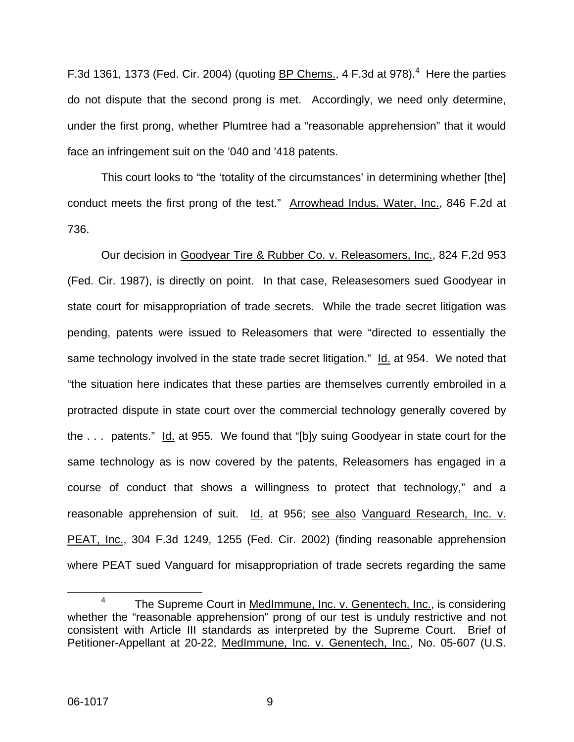F.3d 1361, 1373 (Fed. Cir. 200[4](#page-9-0)) (quoting  $\underline{\mathsf{BP}$  Chems., 4 F.3d at 978).<sup>4</sup> Here the parties do not dispute that the second prong is met. Accordingly, we need only determine, under the first prong, whether Plumtree had a "reasonable apprehension" that it would face an infringement suit on the '040 and '418 patents.

This court looks to "the 'totality of the circumstances' in determining whether [the] conduct meets the first prong of the test." Arrowhead Indus. Water, Inc., 846 F.2d at 736.

Our decision in Goodyear Tire & Rubber Co. v. Releasomers, Inc., 824 F.2d 953 (Fed. Cir. 1987), is directly on point. In that case, Releasesomers sued Goodyear in state court for misappropriation of trade secrets. While the trade secret litigation was pending, patents were issued to Releasomers that were "directed to essentially the same technology involved in the state trade secret litigation." Id. at 954. We noted that "the situation here indicates that these parties are themselves currently embroiled in a protracted dispute in state court over the commercial technology generally covered by the ... patents." Id. at 955. We found that "[b]y suing Goodyear in state court for the same technology as is now covered by the patents, Releasomers has engaged in a course of conduct that shows a willingness to protect that technology," and a reasonable apprehension of suit. Id. at 956; see also Vanguard Research, Inc. v. PEAT, Inc., 304 F.3d 1249, 1255 (Fed. Cir. 2002) (finding reasonable apprehension where PEAT sued Vanguard for misappropriation of trade secrets regarding the same

<span id="page-9-0"></span><sup>&</sup>lt;sup>4</sup> The Supreme Court in MedImmune, Inc. v. Genentech, Inc., is considering whether the "reasonable apprehension" prong of our test is unduly restrictive and not consistent with Article III standards as interpreted by the Supreme Court. Brief of Petitioner-Appellant at 20-22, MedImmune, Inc. v. Genentech, Inc., No. 05-607 (U.S.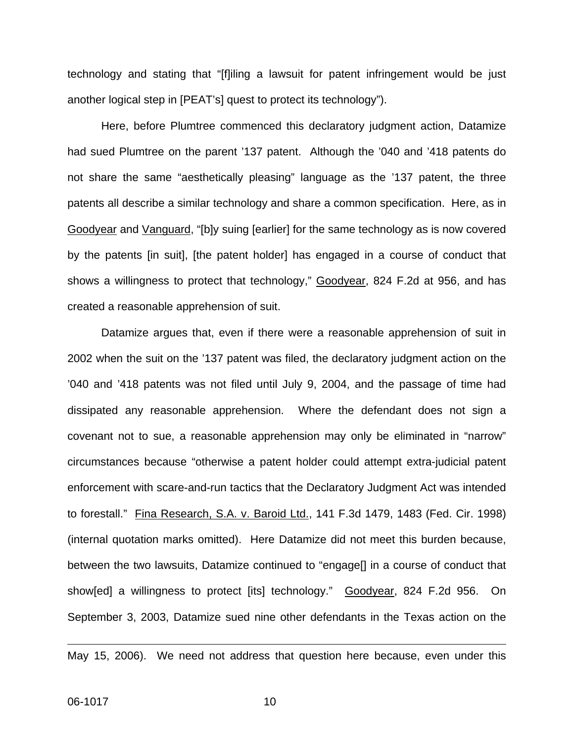technology and stating that "[f]iling a lawsuit for patent infringement would be just another logical step in [PEAT's] quest to protect its technology").

Here, before Plumtree commenced this declaratory judgment action, Datamize had sued Plumtree on the parent '137 patent. Although the '040 and '418 patents do not share the same "aesthetically pleasing" language as the '137 patent, the three patents all describe a similar technology and share a common specification. Here, as in Goodyear and Vanguard, "[b]y suing [earlier] for the same technology as is now covered by the patents [in suit], [the patent holder] has engaged in a course of conduct that shows a willingness to protect that technology," Goodyear, 824 F.2d at 956, and has created a reasonable apprehension of suit.

Datamize argues that, even if there were a reasonable apprehension of suit in 2002 when the suit on the '137 patent was filed, the declaratory judgment action on the '040 and '418 patents was not filed until July 9, 2004, and the passage of time had dissipated any reasonable apprehension.Where the defendant does not sign a covenant not to sue, a reasonable apprehension may only be eliminated in "narrow" circumstances because "otherwise a patent holder could attempt extra-judicial patent enforcement with scare-and-run tactics that the Declaratory Judgment Act was intended to forestall." Fina Research, S.A. v. Baroid Ltd., 141 F.3d 1479, 1483 (Fed. Cir. 1998) (internal quotation marks omitted). Here Datamize did not meet this burden because, between the two lawsuits, Datamize continued to "engage[] in a course of conduct that show[ed] a willingness to protect [its] technology." Goodyear, 824 F.2d 956. On September 3, 2003, Datamize sued nine other defendants in the Texas action on the

May 15, 2006). We need not address that question here because, even under this

<u>.</u>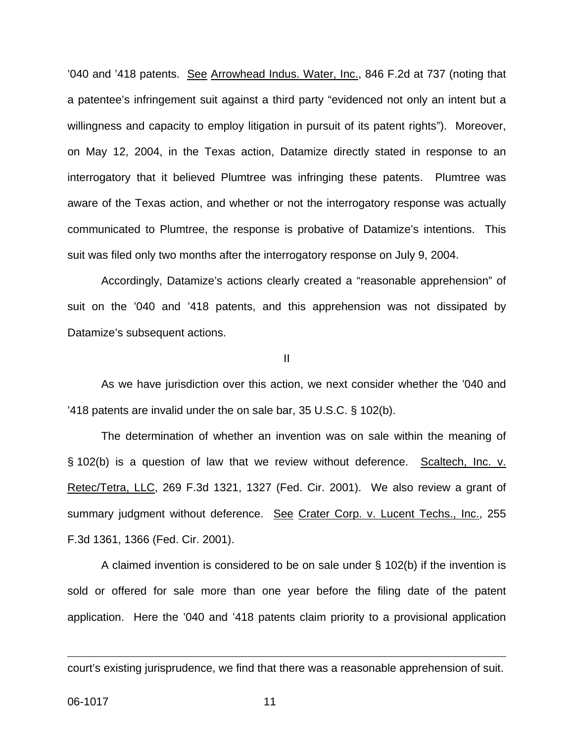'040 and '418 patents. See Arrowhead Indus. Water, Inc., 846 F.2d at 737 (noting that a patentee's infringement suit against a third party "evidenced not only an intent but a willingness and capacity to employ litigation in pursuit of its patent rights"). Moreover, on May 12, 2004, in the Texas action, Datamize directly stated in response to an interrogatory that it believed Plumtree was infringing these patents.Plumtree was aware of the Texas action, and whether or not the interrogatory response was actually communicated to Plumtree, the response is probative of Datamize's intentions. This suit was filed only two months after the interrogatory response on July 9, 2004.

Accordingly, Datamize's actions clearly created a "reasonable apprehension" of suit on the '040 and '418 patents, and this apprehension was not dissipated by Datamize's subsequent actions.

II

As we have jurisdiction over this action, we next consider whether the '040 and '418 patents are invalid under the on sale bar, 35 U.S.C. § 102(b).

The determination of whether an invention was on sale within the meaning of § 102(b) is a question of law that we review without deference. Scaltech, Inc. v. Retec/Tetra, LLC, 269 F.3d 1321, 1327 (Fed. Cir. 2001). We also review a grant of summary judgment without deference. See Crater Corp. v. Lucent Techs., Inc., 255 F.3d 1361, 1366 (Fed. Cir. 2001).

A claimed invention is considered to be on sale under § 102(b) if the invention is sold or offered for sale more than one year before the filing date of the patent application. Here the '040 and '418 patents claim priority to a provisional application

court's existing jurisprudence, we find that there was a reasonable apprehension of suit.

1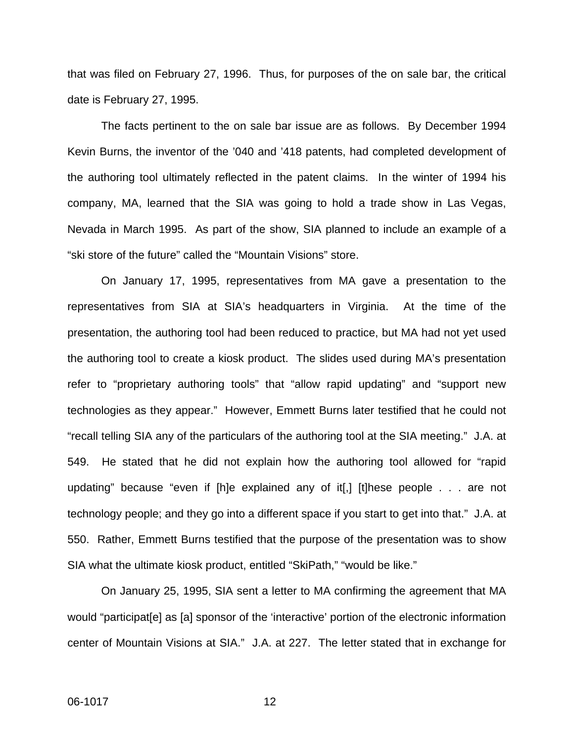that was filed on February 27, 1996. Thus, for purposes of the on sale bar, the critical date is February 27, 1995.

The facts pertinent to the on sale bar issue are as follows. By December 1994 Kevin Burns, the inventor of the '040 and '418 patents, had completed development of the authoring tool ultimately reflected in the patent claims.In the winter of 1994 his company, MA, learned that the SIA was going to hold a trade show in Las Vegas, Nevada in March 1995.As part of the show, SIA planned to include an example of a "ski store of the future" called the "Mountain Visions" store.

On January 17, 1995, representatives from MA gave a presentation to the representatives from SIA at SIA's headquarters in Virginia.At the time of the presentation, the authoring tool had been reduced to practice, but MA had not yet used the authoring tool to create a kiosk product. The slides used during MA's presentation refer to "proprietary authoring tools" that "allow rapid updating" and "support new technologies as they appear."However, Emmett Burns later testified that he could not "recall telling SIA any of the particulars of the authoring tool at the SIA meeting." J.A. at 549. He stated that he did not explain how the authoring tool allowed for "rapid updating" because "even if [h]e explained any of it[,] [t]hese people . . . are not technology people; and they go into a different space if you start to get into that." J.A. at 550. Rather, Emmett Burns testified that the purpose of the presentation was to show SIA what the ultimate kiosk product, entitled "SkiPath," "would be like."

On January 25, 1995, SIA sent a letter to MA confirming the agreement that MA would "participat[e] as [a] sponsor of the 'interactive' portion of the electronic information center of Mountain Visions at SIA." J.A. at 227.The letter stated that in exchange for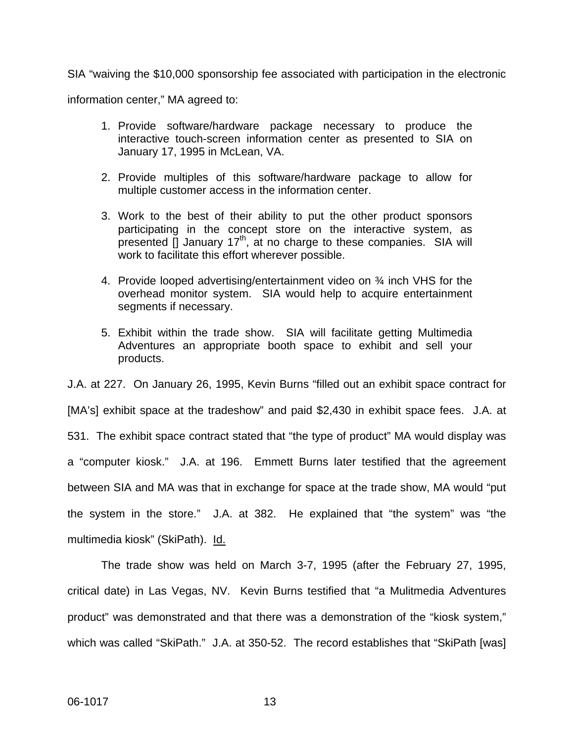SIA "waiving the \$10,000 sponsorship fee associated with participation in the electronic

information center," MA agreed to:

- 1. Provide software/hardware package necessary to produce the interactive touch-screen information center as presented to SIA on January 17, 1995 in McLean, VA.
- 2. Provide multiples of this software/hardware package to allow for multiple customer access in the information center.
- 3. Work to the best of their ability to put the other product sponsors participating in the concept store on the interactive system, as presented  $\overline{[]}$  January 17<sup>th</sup>, at no charge to these companies. SIA will work to facilitate this effort wherever possible.
- 4. Provide looped advertising/entertainment video on ¾ inch VHS for the overhead monitor system. SIA would help to acquire entertainment segments if necessary.
- 5. Exhibit within the trade show. SIA will facilitate getting Multimedia Adventures an appropriate booth space to exhibit and sell your products.

J.A. at 227. On January 26, 1995, Kevin Burns "filled out an exhibit space contract for [MA's] exhibit space at the tradeshow" and paid \$2,430 in exhibit space fees. J.A. at 531.The exhibit space contract stated that "the type of product" MA would display was a "computer kiosk." J.A. at 196. Emmett Burns later testified that the agreement between SIA and MA was that in exchange for space at the trade show, MA would "put the system in the store." J.A. at 382. He explained that "the system" was "the multimedia kiosk" (SkiPath). Id.

The trade show was held on March 3-7, 1995 (after the February 27, 1995, critical date) in Las Vegas, NV.Kevin Burns testified that "a Mulitmedia Adventures product" was demonstrated and that there was a demonstration of the "kiosk system," which was called "SkiPath." J.A. at 350-52.The record establishes that "SkiPath [was]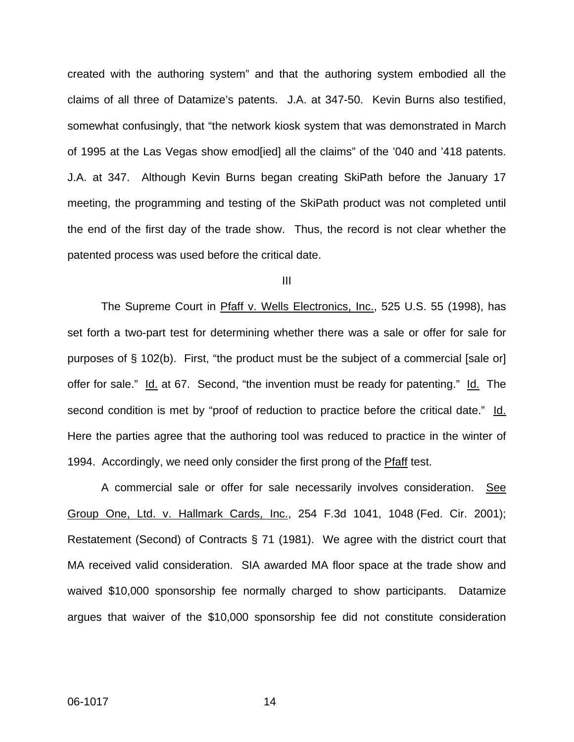created with the authoring system" and that the authoring system embodied all the claims of all three of Datamize's patents. J.A. at 347-50. Kevin Burns also testified, somewhat confusingly, that "the network kiosk system that was demonstrated in March of 1995 at the Las Vegas show emod[ied] all the claims" of the '040 and '418 patents. J.A. at 347. Although Kevin Burns began creating SkiPath before the January 17 meeting, the programming and testing of the SkiPath product was not completed until the end of the first day of the trade show.Thus, the record is not clear whether the patented process was used before the critical date.

III

The Supreme Court in Pfaff v. Wells Electronics, Inc., 525 U.S. 55 (1998), has set forth a two-part test for determining whether there was a sale or offer for sale for purposes of § 102(b). First, "the product must be the subject of a commercial [sale or] offer for sale." Id. at 67. Second, "the invention must be ready for patenting." Id. The second condition is met by "proof of reduction to practice before the critical date." Id. Here the parties agree that the authoring tool was reduced to practice in the winter of 1994.Accordingly, we need only consider the first prong of the Pfaff test.

A commercial sale or offer for sale necessarily involves consideration. See Group One, Ltd. v. Hallmark Cards, Inc., 254 F.3d 1041, 1048 (Fed. Cir. 2001); Restatement (Second) of Contracts § 71 (1981). We agree with the district court that MA received valid consideration. SIA awarded MA floor space at the trade show and waived \$10,000 sponsorship fee normally charged to show participants. Datamize argues that waiver of the \$10,000 sponsorship fee did not constitute consideration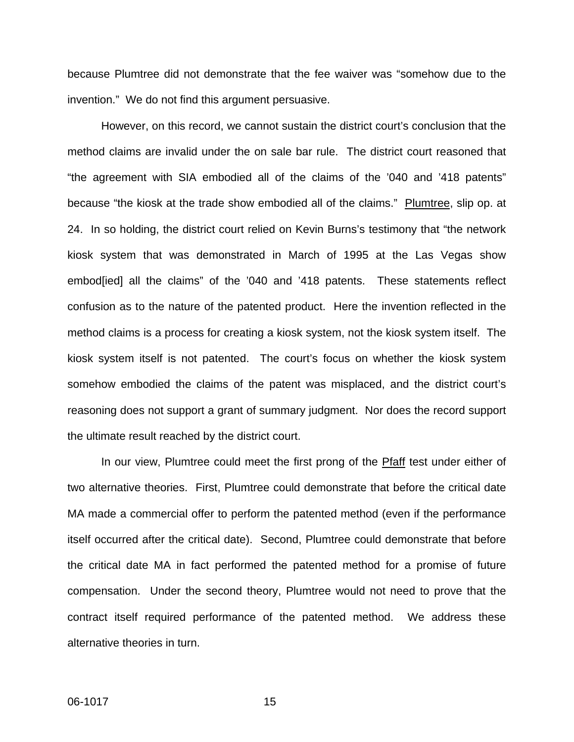because Plumtree did not demonstrate that the fee waiver was "somehow due to the invention."We do not find this argument persuasive.

However, on this record, we cannot sustain the district court's conclusion that the method claims are invalid under the on sale bar rule. The district court reasoned that "the agreement with SIA embodied all of the claims of the '040 and '418 patents" because "the kiosk at the trade show embodied all of the claims." Plumtree, slip op. at 24.In so holding, the district court relied on Kevin Burns's testimony that "the network kiosk system that was demonstrated in March of 1995 at the Las Vegas show embod[ied] all the claims" of the '040 and '418 patents.These statements reflect confusion as to the nature of the patented product. Here the invention reflected in the method claims is a process for creating a kiosk system, not the kiosk system itself. The kiosk system itself is not patented. The court's focus on whether the kiosk system somehow embodied the claims of the patent was misplaced, and the district court's reasoning does not support a grant of summary judgment. Nor does the record support the ultimate result reached by the district court.

In our view, Plumtree could meet the first prong of the **Pfaff** test under either of two alternative theories. First, Plumtree could demonstrate that before the critical date MA made a commercial offer to perform the patented method (even if the performance itself occurred after the critical date). Second, Plumtree could demonstrate that before the critical date MA in fact performed the patented method for a promise of future compensation. Under the second theory, Plumtree would not need to prove that the contract itself required performance of the patented method. We address these alternative theories in turn.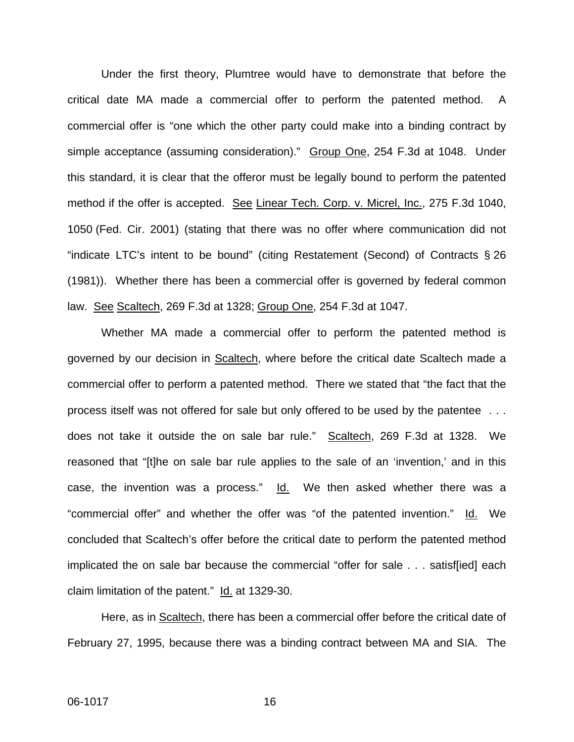Under the first theory, Plumtree would have to demonstrate that before the critical date MA made a commercial offer to perform the patented method. A commercial offer is "one which the other party could make into a binding contract by simple acceptance (assuming consideration)." Group One, 254 F.3d at 1048. Under this standard, it is clear that the offeror must be legally bound to perform the patented method if the offer is accepted. See Linear Tech. Corp. v. Micrel, Inc., 275 F.3d 1040, 1050 (Fed. Cir. 2001) (stating that there was no offer where communication did not "indicate LTC's intent to be bound" (citing Restatement (Second) of Contracts § 26 (1981)). Whether there has been a commercial offer is governed by federal common law. See Scaltech, 269 F.3d at 1328; Group One, 254 F.3d at 1047.

Whether MA made a commercial offer to perform the patented method is governed by our decision in Scaltech, where before the critical date Scaltech made a commercial offer to perform a patented method. There we stated that "the fact that the process itself was not offered for sale but only offered to be used by the patentee . . . does not take it outside the on sale bar rule." Scaltech, 269 F.3d at 1328. We reasoned that "[t]he on sale bar rule applies to the sale of an 'invention,' and in this case, the invention was a process." Id. We then asked whether there was a "commercial offer" and whether the offer was "of the patented invention." Id. We concluded that Scaltech's offer before the critical date to perform the patented method implicated the on sale bar because the commercial "offer for sale . . . satisf[ied] each claim limitation of the patent." Id. at 1329-30.

Here, as in Scaltech, there has been a commercial offer before the critical date of February 27, 1995, because there was a binding contract between MA and SIA. The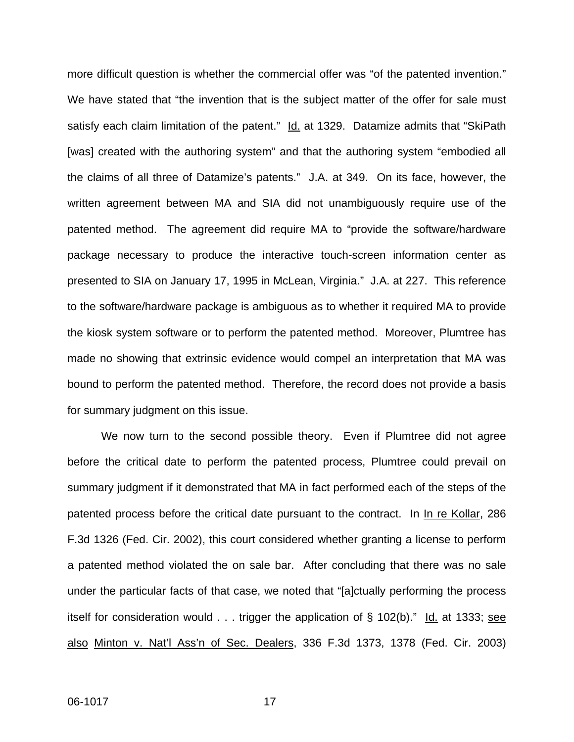more difficult question is whether the commercial offer was "of the patented invention." We have stated that "the invention that is the subject matter of the offer for sale must satisfy each claim limitation of the patent." Id. at 1329. Datamize admits that "SkiPath [was] created with the authoring system" and that the authoring system "embodied all the claims of all three of Datamize's patents." J.A. at 349.On its face, however, the written agreement between MA and SIA did not unambiguously require use of the patented method. The agreement did require MA to "provide the software/hardware package necessary to produce the interactive touch-screen information center as presented to SIA on January 17, 1995 in McLean, Virginia." J.A. at 227. This reference to the software/hardware package is ambiguous as to whether it required MA to provide the kiosk system software or to perform the patented method. Moreover, Plumtree has made no showing that extrinsic evidence would compel an interpretation that MA was bound to perform the patented method. Therefore, the record does not provide a basis for summary judgment on this issue.

We now turn to the second possible theory. Even if Plumtree did not agree before the critical date to perform the patented process, Plumtree could prevail on summary judgment if it demonstrated that MA in fact performed each of the steps of the patented process before the critical date pursuant to the contract. In In re Kollar, 286 F.3d 1326 (Fed. Cir. 2002), this court considered whether granting a license to perform a patented method violated the on sale bar. After concluding that there was no sale under the particular facts of that case, we noted that "[a]ctually performing the process itself for consideration would  $\ldots$  trigger the application of § 102(b)." Id. at 1333; see also Minton v. Nat'l Ass'n of Sec. Dealers, 336 F.3d 1373, 1378 (Fed. Cir. 2003)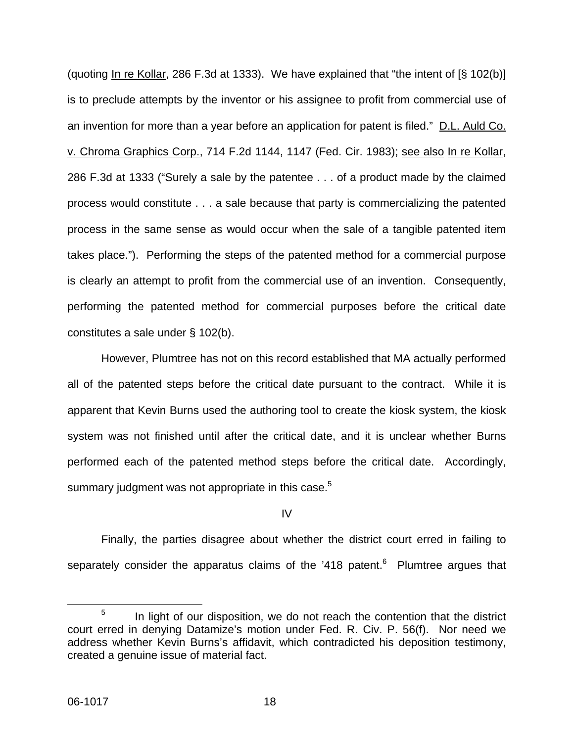(quoting In re Kollar, 286 F.3d at 1333). We have explained that "the intent of [§ 102(b)] is to preclude attempts by the inventor or his assignee to profit from commercial use of an invention for more than a year before an application for patent is filed." D.L. Auld Co. v. Chroma Graphics Corp., 714 F.2d 1144, 1147 (Fed. Cir. 1983); see also In re Kollar, 286 F.3d at 1333 ("Surely a sale by the patentee . . . of a product made by the claimed process would constitute . . . a sale because that party is commercializing the patented process in the same sense as would occur when the sale of a tangible patented item takes place."). Performing the steps of the patented method for a commercial purpose is clearly an attempt to profit from the commercial use of an invention. Consequently, performing the patented method for commercial purposes before the critical date constitutes a sale under § 102(b).

However, Plumtree has not on this record established that MA actually performed all of the patented steps before the critical date pursuant to the contract. While it is apparent that Kevin Burns used the authoring tool to create the kiosk system, the kiosk system was not finished until after the critical date, and it is unclear whether Burns performed each of the patented method steps before the critical date. Accordingly, summary judgment was not appropriate in this case.<sup>[5](#page-18-0)</sup>

#### IV

Finally, the parties disagree about whether the district court erred in failing to separately consider the apparatus claims of the '418 patent. $6$  Plumtree argues that

<span id="page-18-1"></span><span id="page-18-0"></span> $5$  In light of our disposition, we do not reach the contention that the district court erred in denying Datamize's motion under Fed. R. Civ. P. 56(f). Nor need we address whether Kevin Burns's affidavit, which contradicted his deposition testimony, created a genuine issue of material fact.